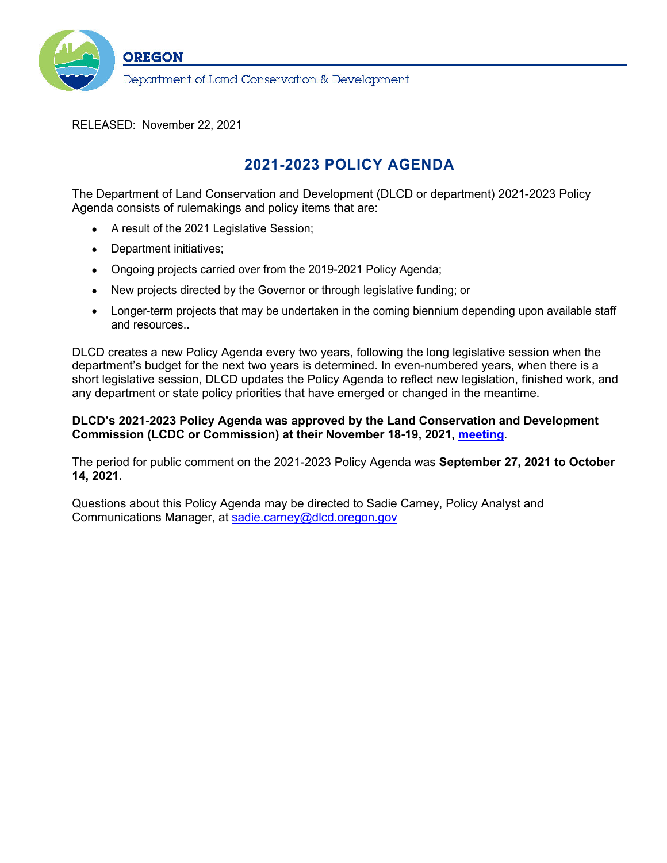

RELEASED: November 22, 2021

# **2021-2023 POLICY AGENDA**

The Department of Land Conservation and Development (DLCD or department) 2021-2023 Policy Agenda consists of rulemakings and policy items that are:

- A result of the 2021 Legislative Session;
- Department initiatives;
- Ongoing projects carried over from the 2019-2021 Policy Agenda;
- New projects directed by the Governor or through legislative funding; or
- Longer-term projects that may be undertaken in the coming biennium depending upon available staff and resources..

DLCD creates a new Policy Agenda every two years, following the long legislative session when the department's budget for the next two years is determined. In even-numbered years, when there is a short legislative session, DLCD updates the Policy Agenda to reflect new legislation, finished work, and any department or state policy priorities that have emerged or changed in the meantime.

### **DLCD's 2021-2023 Policy Agenda was approved by the Land Conservation and Development Commission (LCDC or Commission) at their November 18-19, 2021, [meeting](https://www.oregon.gov/lcd/Commission/Pages/Meetings.aspx)**.

The period for public comment on the 2021-2023 Policy Agenda was **September 27, 2021 to October 14, 2021.**

Questions about this Policy Agenda may be directed to Sadie Carney, Policy Analyst and Communications Manager, at [sadie.carney@dlcd.oregon.gov](mailto:sadie.carney@dlcd.oregon.gov)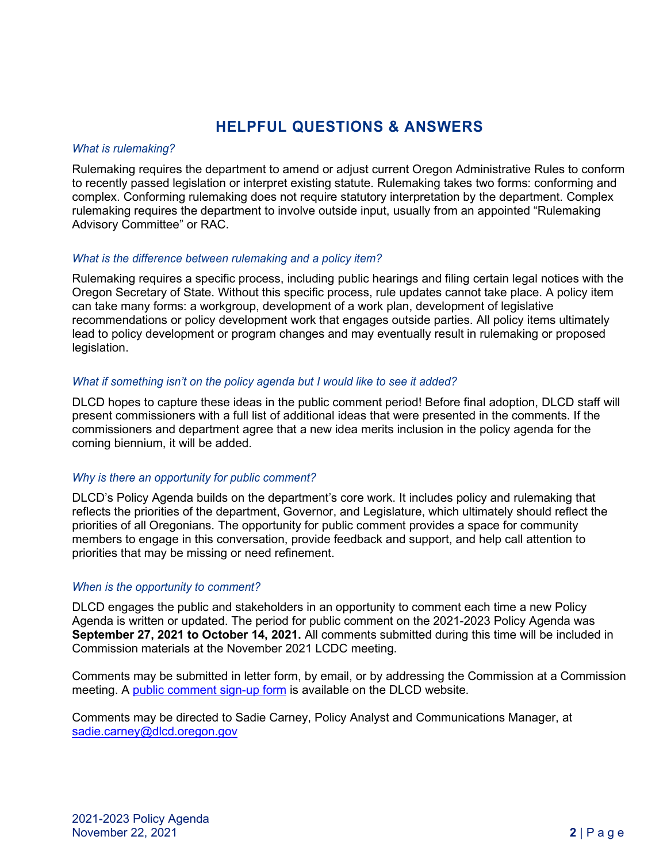# **HELPFUL QUESTIONS & ANSWERS**

#### *What is rulemaking?*

Rulemaking requires the department to amend or adjust current Oregon Administrative Rules to conform to recently passed legislation or interpret existing statute. Rulemaking takes two forms: conforming and complex. Conforming rulemaking does not require statutory interpretation by the department. Complex rulemaking requires the department to involve outside input, usually from an appointed "Rulemaking Advisory Committee" or RAC.

#### *What is the difference between rulemaking and a policy item?*

Rulemaking requires a specific process, including public hearings and filing certain legal notices with the Oregon Secretary of State. Without this specific process, rule updates cannot take place. A policy item can take many forms: a workgroup, development of a work plan, development of legislative recommendations or policy development work that engages outside parties. All policy items ultimately lead to policy development or program changes and may eventually result in rulemaking or proposed legislation.

#### *What if something isn't on the policy agenda but I would like to see it added?*

DLCD hopes to capture these ideas in the public comment period! Before final adoption, DLCD staff will present commissioners with a full list of additional ideas that were presented in the comments. If the commissioners and department agree that a new idea merits inclusion in the policy agenda for the coming biennium, it will be added.

## *Why is there an opportunity for public comment?*

DLCD's Policy Agenda builds on the department's core work. It includes policy and rulemaking that reflects the priorities of the department, Governor, and Legislature, which ultimately should reflect the priorities of all Oregonians. The opportunity for public comment provides a space for community members to engage in this conversation, provide feedback and support, and help call attention to priorities that may be missing or need refinement.

#### *When is the opportunity to comment?*

DLCD engages the public and stakeholders in an opportunity to comment each time a new Policy Agenda is written or updated. The period for public comment on the 2021-2023 Policy Agenda was **September 27, 2021 to October 14, 2021.** All comments submitted during this time will be included in Commission materials at the November 2021 LCDC meeting.

Comments may be submitted in letter form, by email, or by addressing the Commission at a Commission meeting. A [public comment sign-up form](https://www.oregon.gov/lcd/commission/pages/public-comment.aspx) is available on the DLCD website.

Comments may be directed to Sadie Carney, Policy Analyst and Communications Manager, at [sadie.carney@dlcd.oregon.gov](mailto:sadie.carney@dlcd.oregon.gov)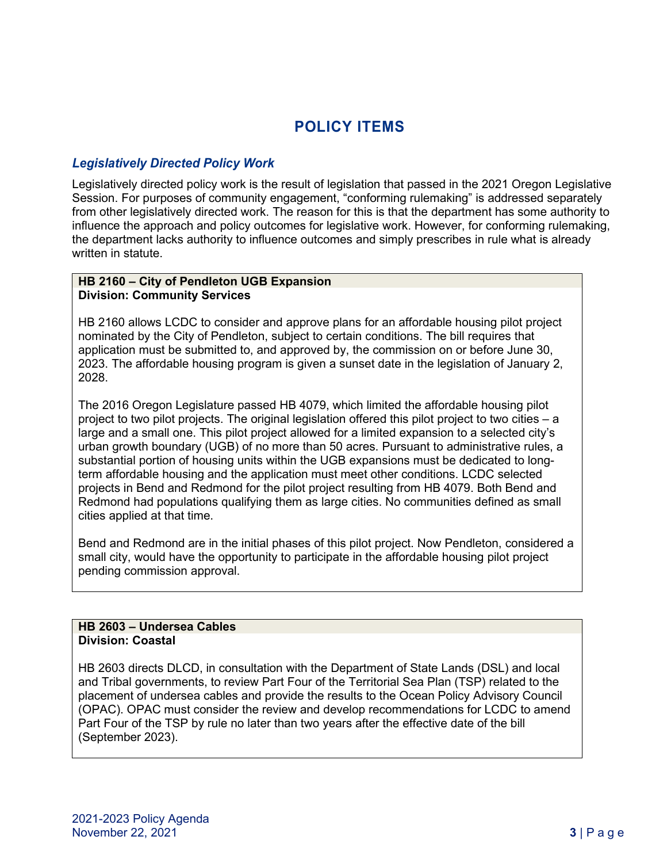# **POLICY ITEMS**

# *Legislatively Directed Policy Work*

Legislatively directed policy work is the result of legislation that passed in the 2021 Oregon Legislative Session. For purposes of community engagement, "conforming rulemaking" is addressed separately from other legislatively directed work. The reason for this is that the department has some authority to influence the approach and policy outcomes for legislative work. However, for conforming rulemaking, the department lacks authority to influence outcomes and simply prescribes in rule what is already written in statute.

#### **HB 2160 – City of Pendleton UGB Expansion Division: Community Services**

HB 2160 allows LCDC to consider and approve plans for an affordable housing pilot project nominated by the City of Pendleton, subject to certain conditions. The bill requires that application must be submitted to, and approved by, the commission on or before June 30, 2023. The affordable housing program is given a sunset date in the legislation of January 2, 2028.

The 2016 Oregon Legislature passed HB 4079, which limited the affordable housing pilot project to two pilot projects. The original legislation offered this pilot project to two cities – a large and a small one. This pilot project allowed for a limited expansion to a selected city's urban growth boundary (UGB) of no more than 50 acres. Pursuant to administrative rules, a substantial portion of housing units within the UGB expansions must be dedicated to longterm affordable housing and the application must meet other conditions. LCDC selected projects in Bend and Redmond for the pilot project resulting from HB 4079. Both Bend and Redmond had populations qualifying them as large cities. No communities defined as small cities applied at that time.

Bend and Redmond are in the initial phases of this pilot project. Now Pendleton, considered a small city, would have the opportunity to participate in the affordable housing pilot project pending commission approval.

## **HB 2603 – Undersea Cables Division: Coastal**

HB 2603 directs DLCD, in consultation with the Department of State Lands (DSL) and local and Tribal governments, to review Part Four of the Territorial Sea Plan (TSP) related to the placement of undersea cables and provide the results to the Ocean Policy Advisory Council (OPAC). OPAC must consider the review and develop recommendations for LCDC to amend Part Four of the TSP by rule no later than two years after the effective date of the bill (September 2023).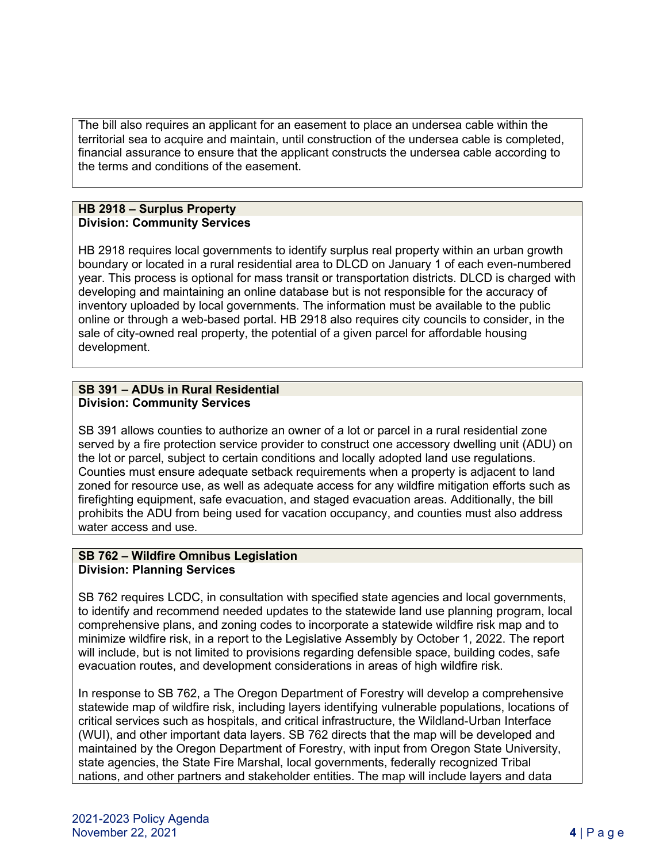The bill also requires an applicant for an easement to place an undersea cable within the territorial sea to acquire and maintain, until construction of the undersea cable is completed, financial assurance to ensure that the applicant constructs the undersea cable according to the terms and conditions of the easement.

#### **HB 2918 – Surplus Property Division: Community Services**

HB 2918 requires local governments to identify surplus real property within an urban growth boundary or located in a rural residential area to DLCD on January 1 of each even-numbered year. This process is optional for mass transit or transportation districts. DLCD is charged with developing and maintaining an online database but is not responsible for the accuracy of inventory uploaded by local governments. The information must be available to the public online or through a web-based portal. HB 2918 also requires city councils to consider, in the sale of city-owned real property, the potential of a given parcel for affordable housing development.

#### **SB 391 – ADUs in Rural Residential Division: Community Services**

SB 391 allows counties to authorize an owner of a lot or parcel in a rural residential zone served by a fire protection service provider to construct one accessory dwelling unit (ADU) on the lot or parcel, subject to certain conditions and locally adopted land use regulations. Counties must ensure adequate setback requirements when a property is adjacent to land zoned for resource use, as well as adequate access for any wildfire mitigation efforts such as firefighting equipment, safe evacuation, and staged evacuation areas. Additionally, the bill prohibits the ADU from being used for vacation occupancy, and counties must also address water access and use.

# **SB 762 – Wildfire Omnibus Legislation Division: Planning Services**

SB 762 requires LCDC, in consultation with specified state agencies and local governments, to identify and recommend needed updates to the statewide land use planning program, local comprehensive plans, and zoning codes to incorporate a statewide wildfire risk map and to minimize wildfire risk, in a report to the Legislative Assembly by October 1, 2022. The report will include, but is not limited to provisions regarding defensible space, building codes, safe evacuation routes, and development considerations in areas of high wildfire risk.

In response to SB 762, a The Oregon Department of Forestry will develop a comprehensive statewide map of wildfire risk, including layers identifying vulnerable populations, locations of critical services such as hospitals, and critical infrastructure, the Wildland-Urban Interface (WUI), and other important data layers. SB 762 directs that the map will be developed and maintained by the Oregon Department of Forestry, with input from Oregon State University, state agencies, the State Fire Marshal, local governments, federally recognized Tribal nations, and other partners and stakeholder entities. The map will include layers and data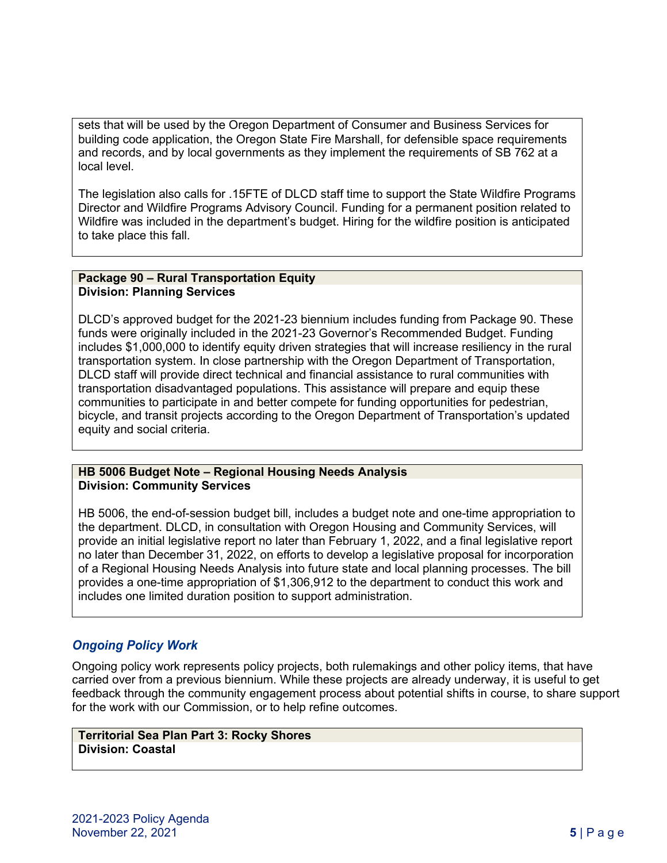sets that will be used by the Oregon Department of Consumer and Business Services for building code application, the Oregon State Fire Marshall, for defensible space requirements and records, and by local governments as they implement the requirements of SB 762 at a local level.

The legislation also calls for .15FTE of DLCD staff time to support the State Wildfire Programs Director and Wildfire Programs Advisory Council. Funding for a permanent position related to Wildfire was included in the department's budget. Hiring for the wildfire position is anticipated to take place this fall.

#### **Package 90 – Rural Transportation Equity Division: Planning Services**

DLCD's approved budget for the 2021-23 biennium includes funding from Package 90. These funds were originally included in the 2021-23 Governor's Recommended Budget. Funding includes \$1,000,000 to identify equity driven strategies that will increase resiliency in the rural transportation system. In close partnership with the Oregon Department of Transportation, DLCD staff will provide direct technical and financial assistance to rural communities with transportation disadvantaged populations. This assistance will prepare and equip these communities to participate in and better compete for funding opportunities for pedestrian, bicycle, and transit projects according to the Oregon Department of Transportation's updated equity and social criteria.

## **HB 5006 Budget Note – Regional Housing Needs Analysis Division: Community Services**

HB 5006, the end-of-session budget bill, includes a budget note and one-time appropriation to the department. DLCD, in consultation with Oregon Housing and Community Services, will provide an initial legislative report no later than February 1, 2022, and a final legislative report no later than December 31, 2022, on efforts to develop a legislative proposal for incorporation of a Regional Housing Needs Analysis into future state and local planning processes. The bill provides a one-time appropriation of \$1,306,912 to the department to conduct this work and includes one limited duration position to support administration.

# *Ongoing Policy Work*

Ongoing policy work represents policy projects, both rulemakings and other policy items, that have carried over from a previous biennium. While these projects are already underway, it is useful to get feedback through the community engagement process about potential shifts in course, to share support for the work with our Commission, or to help refine outcomes.

**Territorial Sea Plan Part 3: Rocky Shores Division: Coastal**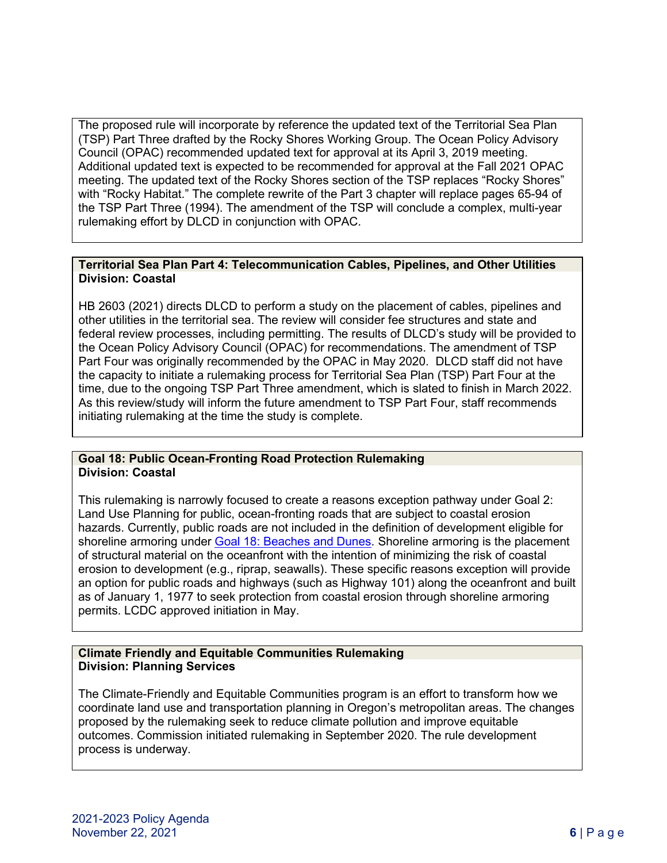The proposed rule will incorporate by reference the updated text of the Territorial Sea Plan (TSP) Part Three drafted by the Rocky Shores Working Group. The Ocean Policy Advisory Council (OPAC) recommended updated text for approval at its April 3, 2019 meeting. Additional updated text is expected to be recommended for approval at the Fall 2021 OPAC meeting. The updated text of the Rocky Shores section of the TSP replaces "Rocky Shores" with "Rocky Habitat." The complete rewrite of the Part 3 chapter will replace pages 65-94 of the TSP Part Three (1994). The amendment of the TSP will conclude a complex, multi-year rulemaking effort by DLCD in conjunction with OPAC.

### **Territorial Sea Plan Part 4: Telecommunication Cables, Pipelines, and Other Utilities Division: Coastal**

HB 2603 (2021) directs DLCD to perform a study on the placement of cables, pipelines and other utilities in the territorial sea. The review will consider fee structures and state and federal review processes, including permitting. The results of DLCD's study will be provided to the Ocean Policy Advisory Council (OPAC) for recommendations. The amendment of TSP Part Four was originally recommended by the OPAC in May 2020. DLCD staff did not have the capacity to initiate a rulemaking process for Territorial Sea Plan (TSP) Part Four at the time, due to the ongoing TSP Part Three amendment, which is slated to finish in March 2022. As this review/study will inform the future amendment to TSP Part Four, staff recommends initiating rulemaking at the time the study is complete.

#### **Goal 18: Public Ocean-Fronting Road Protection Rulemaking Division: Coastal**

This rulemaking is narrowly focused to create a reasons exception pathway under Goal 2: Land Use Planning for public, ocean-fronting roads that are subject to coastal erosion hazards. Currently, public roads are not included in the definition of development eligible for shoreline armoring under [Goal 18: Beaches and Dunes.](https://www.oregon.gov/lcd/OP/Pages/Goal-18.aspx) Shoreline armoring is the placement of structural material on the oceanfront with the intention of minimizing the risk of coastal erosion to development (e.g., riprap, seawalls). These specific reasons exception will provide an option for public roads and highways (such as Highway 101) along the oceanfront and built as of January 1, 1977 to seek protection from coastal erosion through shoreline armoring permits. LCDC approved initiation in May.

#### **Climate Friendly and Equitable Communities Rulemaking Division: Planning Services**

The Climate-Friendly and Equitable Communities program is an effort to transform how we coordinate land use and transportation planning in Oregon's metropolitan areas. The changes proposed by the rulemaking seek to reduce climate pollution and improve equitable outcomes. Commission initiated rulemaking in September 2020. The rule development process is underway.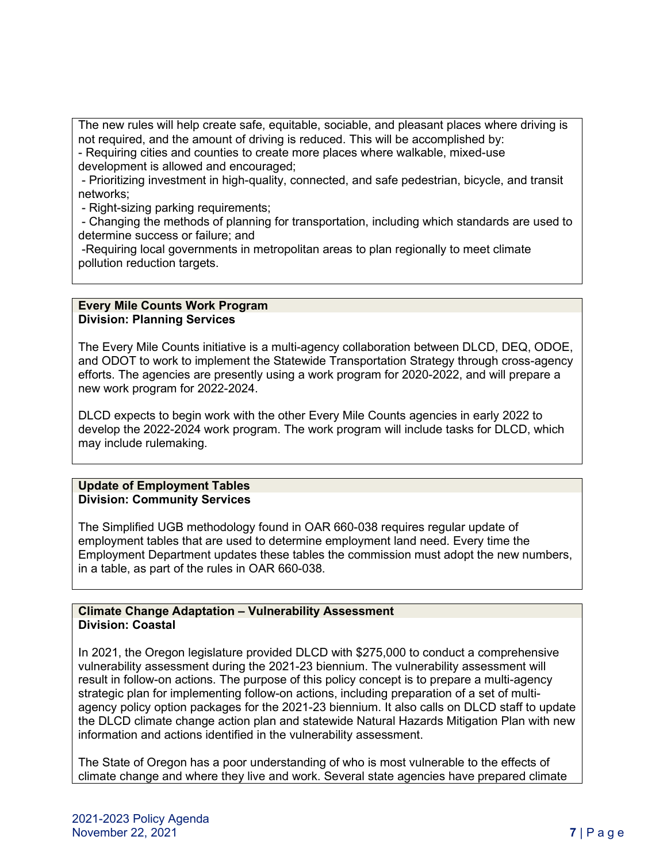The new rules will help create safe, equitable, sociable, and pleasant places where driving is not required, and the amount of driving is reduced. This will be accomplished by: - Requiring cities and counties to create more places where walkable, mixed-use

development is allowed and encouraged;

- Prioritizing investment in high-quality, connected, and safe pedestrian, bicycle, and transit networks;

- Right-sizing parking requirements;

- Changing the methods of planning for transportation, including which standards are used to determine success or failure; and

-Requiring local governments in metropolitan areas to plan regionally to meet climate pollution reduction targets.

#### **Every Mile Counts Work Program Division: Planning Services**

The Every Mile Counts initiative is a multi-agency collaboration between DLCD, DEQ, ODOE, and ODOT to work to implement the Statewide Transportation Strategy through cross-agency efforts. The agencies are presently using a work program for 2020-2022, and will prepare a new work program for 2022-2024.

DLCD expects to begin work with the other Every Mile Counts agencies in early 2022 to develop the 2022-2024 work program. The work program will include tasks for DLCD, which may include rulemaking.

#### **Update of Employment Tables Division: Community Services**

The Simplified UGB methodology found in OAR 660-038 requires regular update of employment tables that are used to determine employment land need. Every time the Employment Department updates these tables the commission must adopt the new numbers, in a table, as part of the rules in OAR 660-038.

#### **Climate Change Adaptation – Vulnerability Assessment Division: Coastal**

In 2021, the Oregon legislature provided DLCD with \$275,000 to conduct a comprehensive vulnerability assessment during the 2021-23 biennium. The vulnerability assessment will result in follow-on actions. The purpose of this policy concept is to prepare a multi-agency strategic plan for implementing follow-on actions, including preparation of a set of multiagency policy option packages for the 2021-23 biennium. It also calls on DLCD staff to update the DLCD climate change action plan and statewide Natural Hazards Mitigation Plan with new information and actions identified in the vulnerability assessment.

The State of Oregon has a poor understanding of who is most vulnerable to the effects of climate change and where they live and work. Several state agencies have prepared climate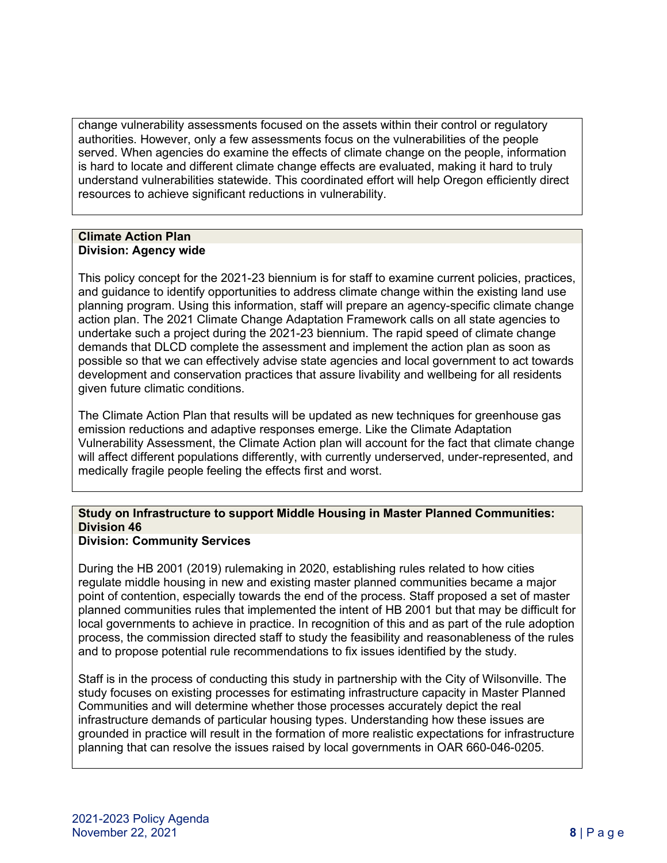change vulnerability assessments focused on the assets within their control or regulatory authorities. However, only a few assessments focus on the vulnerabilities of the people served. When agencies do examine the effects of climate change on the people, information is hard to locate and different climate change effects are evaluated, making it hard to truly understand vulnerabilities statewide. This coordinated effort will help Oregon efficiently direct resources to achieve significant reductions in vulnerability.

### **Climate Action Plan Division: Agency wide**

This policy concept for the 2021-23 biennium is for staff to examine current policies, practices, and guidance to identify opportunities to address climate change within the existing land use planning program. Using this information, staff will prepare an agency-specific climate change action plan. The 2021 Climate Change Adaptation Framework calls on all state agencies to undertake such a project during the 2021-23 biennium. The rapid speed of climate change demands that DLCD complete the assessment and implement the action plan as soon as possible so that we can effectively advise state agencies and local government to act towards development and conservation practices that assure livability and wellbeing for all residents given future climatic conditions.

The Climate Action Plan that results will be updated as new techniques for greenhouse gas emission reductions and adaptive responses emerge. Like the Climate Adaptation Vulnerability Assessment, the Climate Action plan will account for the fact that climate change will affect different populations differently, with currently underserved, under-represented, and medically fragile people feeling the effects first and worst.

# **Study on Infrastructure to support Middle Housing in Master Planned Communities: Division 46**

## **Division: Community Services**

During the HB 2001 (2019) rulemaking in 2020, establishing rules related to how cities regulate middle housing in new and existing master planned communities became a major point of contention, especially towards the end of the process. Staff proposed a set of master planned communities rules that implemented the intent of HB 2001 but that may be difficult for local governments to achieve in practice. In recognition of this and as part of the rule adoption process, the commission directed staff to study the feasibility and reasonableness of the rules and to propose potential rule recommendations to fix issues identified by the study.

Staff is in the process of conducting this study in partnership with the City of Wilsonville. The study focuses on existing processes for estimating infrastructure capacity in Master Planned Communities and will determine whether those processes accurately depict the real infrastructure demands of particular housing types. Understanding how these issues are grounded in practice will result in the formation of more realistic expectations for infrastructure planning that can resolve the issues raised by local governments in OAR 660-046-0205.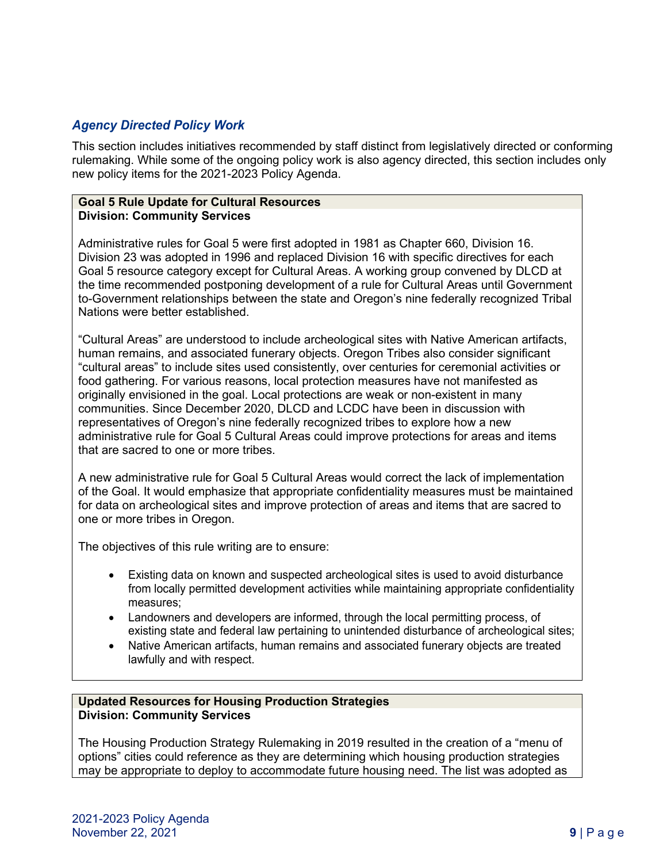# *Agency Directed Policy Work*

This section includes initiatives recommended by staff distinct from legislatively directed or conforming rulemaking. While some of the ongoing policy work is also agency directed, this section includes only new policy items for the 2021-2023 Policy Agenda.

#### **Goal 5 Rule Update for Cultural Resources Division: Community Services**

Administrative rules for Goal 5 were first adopted in 1981 as Chapter 660, Division 16. Division 23 was adopted in 1996 and replaced Division 16 with specific directives for each Goal 5 resource category except for Cultural Areas. A working group convened by DLCD at the time recommended postponing development of a rule for Cultural Areas until Government to-Government relationships between the state and Oregon's nine federally recognized Tribal Nations were better established.

"Cultural Areas" are understood to include archeological sites with Native American artifacts, human remains, and associated funerary objects. Oregon Tribes also consider significant "cultural areas" to include sites used consistently, over centuries for ceremonial activities or food gathering. For various reasons, local protection measures have not manifested as originally envisioned in the goal. Local protections are weak or non-existent in many communities. Since December 2020, DLCD and LCDC have been in discussion with representatives of Oregon's nine federally recognized tribes to explore how a new administrative rule for Goal 5 Cultural Areas could improve protections for areas and items that are sacred to one or more tribes.

A new administrative rule for Goal 5 Cultural Areas would correct the lack of implementation of the Goal. It would emphasize that appropriate confidentiality measures must be maintained for data on archeological sites and improve protection of areas and items that are sacred to one or more tribes in Oregon.

The objectives of this rule writing are to ensure:

- Existing data on known and suspected archeological sites is used to avoid disturbance from locally permitted development activities while maintaining appropriate confidentiality measures;
- Landowners and developers are informed, through the local permitting process, of existing state and federal law pertaining to unintended disturbance of archeological sites;
- Native American artifacts, human remains and associated funerary objects are treated lawfully and with respect.

#### **Updated Resources for Housing Production Strategies Division: Community Services**

The Housing Production Strategy Rulemaking in 2019 resulted in the creation of a "menu of options" cities could reference as they are determining which housing production strategies may be appropriate to deploy to accommodate future housing need. The list was adopted as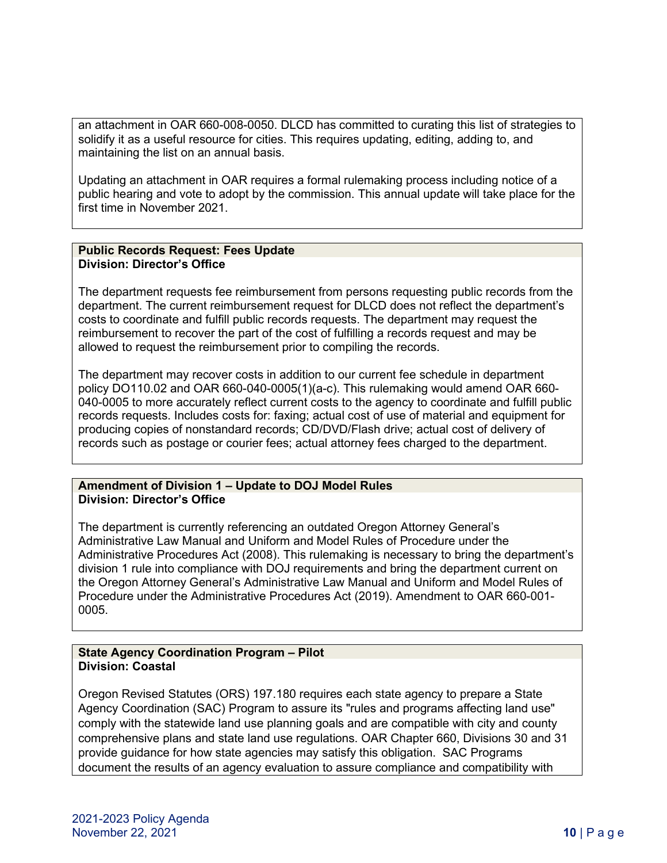an attachment in OAR 660-008-0050. DLCD has committed to curating this list of strategies to solidify it as a useful resource for cities. This requires updating, editing, adding to, and maintaining the list on an annual basis.

Updating an attachment in OAR requires a formal rulemaking process including notice of a public hearing and vote to adopt by the commission. This annual update will take place for the first time in November 2021.

#### **Public Records Request: Fees Update Division: Director's Office**

The department requests fee reimbursement from persons requesting public records from the department. The current reimbursement request for DLCD does not reflect the department's costs to coordinate and fulfill public records requests. The department may request the reimbursement to recover the part of the cost of fulfilling a records request and may be allowed to request the reimbursement prior to compiling the records.

The department may recover costs in addition to our current fee schedule in department policy DO110.02 and OAR 660-040-0005(1)(a-c). This rulemaking would amend OAR 660- 040-0005 to more accurately reflect current costs to the agency to coordinate and fulfill public records requests. Includes costs for: faxing; actual cost of use of material and equipment for producing copies of nonstandard records; CD/DVD/Flash drive; actual cost of delivery of records such as postage or courier fees; actual attorney fees charged to the department.

#### **Amendment of Division 1 – Update to DOJ Model Rules Division: Director's Office**

The department is currently referencing an outdated Oregon Attorney General's Administrative Law Manual and Uniform and Model Rules of Procedure under the Administrative Procedures Act (2008). This rulemaking is necessary to bring the department's division 1 rule into compliance with DOJ requirements and bring the department current on the Oregon Attorney General's Administrative Law Manual and Uniform and Model Rules of Procedure under the Administrative Procedures Act (2019). Amendment to OAR 660-001- 0005.

#### **State Agency Coordination Program – Pilot Division: Coastal**

Oregon Revised Statutes (ORS) 197.180 requires each state agency to prepare a State Agency Coordination (SAC) Program to assure its "rules and programs affecting land use" comply with the statewide land use planning goals and are compatible with city and county comprehensive plans and state land use regulations. OAR Chapter 660, Divisions 30 and 31 provide guidance for how state agencies may satisfy this obligation. SAC Programs document the results of an agency evaluation to assure compliance and compatibility with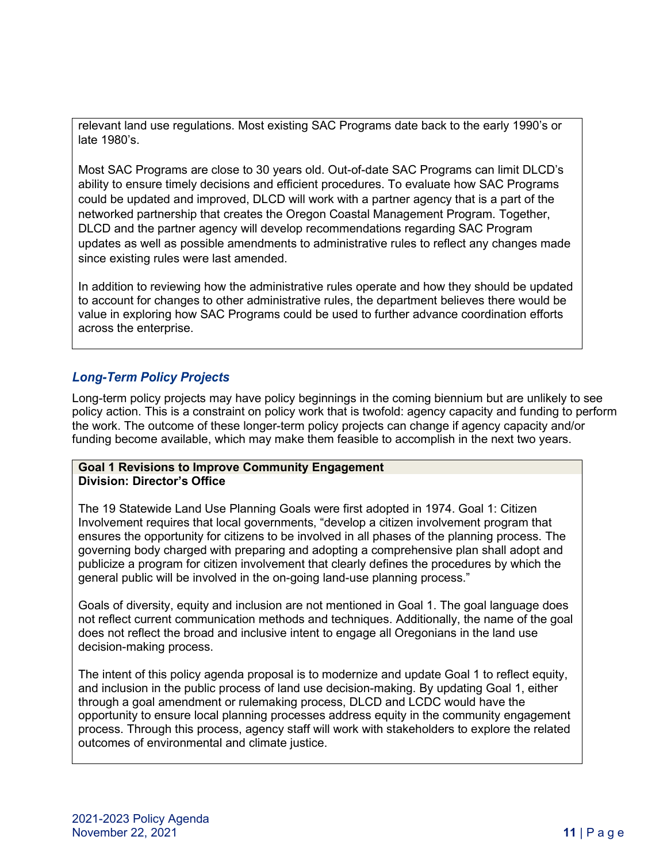relevant land use regulations. Most existing SAC Programs date back to the early 1990's or late 1980's.

Most SAC Programs are close to 30 years old. Out-of-date SAC Programs can limit DLCD's ability to ensure timely decisions and efficient procedures. To evaluate how SAC Programs could be updated and improved, DLCD will work with a partner agency that is a part of the networked partnership that creates the Oregon Coastal Management Program. Together, DLCD and the partner agency will develop recommendations regarding SAC Program updates as well as possible amendments to administrative rules to reflect any changes made since existing rules were last amended.

In addition to reviewing how the administrative rules operate and how they should be updated to account for changes to other administrative rules, the department believes there would be value in exploring how SAC Programs could be used to further advance coordination efforts across the enterprise.

# *Long-Term Policy Projects*

Long-term policy projects may have policy beginnings in the coming biennium but are unlikely to see policy action. This is a constraint on policy work that is twofold: agency capacity and funding to perform the work. The outcome of these longer-term policy projects can change if agency capacity and/or funding become available, which may make them feasible to accomplish in the next two years.

## **Goal 1 Revisions to Improve Community Engagement Division: Director's Office**

The 19 Statewide Land Use Planning Goals were first adopted in 1974. Goal 1: Citizen Involvement requires that local governments, "develop a citizen involvement program that ensures the opportunity for citizens to be involved in all phases of the planning process. The governing body charged with preparing and adopting a comprehensive plan shall adopt and publicize a program for citizen involvement that clearly defines the procedures by which the general public will be involved in the on-going land-use planning process."

Goals of diversity, equity and inclusion are not mentioned in Goal 1. The goal language does not reflect current communication methods and techniques. Additionally, the name of the goal does not reflect the broad and inclusive intent to engage all Oregonians in the land use decision-making process.

The intent of this policy agenda proposal is to modernize and update Goal 1 to reflect equity, and inclusion in the public process of land use decision-making. By updating Goal 1, either through a goal amendment or rulemaking process, DLCD and LCDC would have the opportunity to ensure local planning processes address equity in the community engagement process. Through this process, agency staff will work with stakeholders to explore the related outcomes of environmental and climate justice.